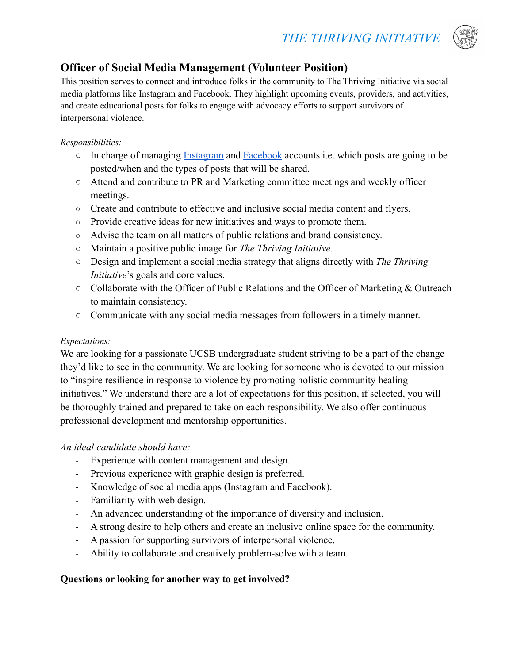# *THE THRIVING INITIATIVE*



## **Officer of Social Media Management (Volunteer Position)**

This position serves to connect and introduce folks in the community to The Thriving Initiative via social media platforms like Instagram and Facebook. They highlight upcoming events, providers, and activities, and create educational posts for folks to engage with advocacy efforts to support survivors of interpersonal violence.

#### *Responsibilities:*

- In charge of managing [Instagram](https://www.instagram.com/thrivinginitiative/) and [Facebook](https://www.facebook.com/ThrivingInitiative) accounts i.e. which posts are going to be posted/when and the types of posts that will be shared.
- Attend and contribute to PR and Marketing committee meetings and weekly officer meetings.
- Create and contribute to effective and inclusive social media content and flyers.
- Provide creative ideas for new initiatives and ways to promote them.
- Advise the team on all matters of public relations and brand consistency.
- Maintain a positive public image for *The Thriving Initiative.*
- Design and implement a social media strategy that aligns directly with *The Thriving Initiative*'s goals and core values.
- Collaborate with the Officer of Public Relations and the Officer of Marketing & Outreach to maintain consistency.
- Communicate with any social media messages from followers in a timely manner.

#### *Expectations:*

We are looking for a passionate UCSB undergraduate student striving to be a part of the change they'd like to see in the community. We are looking for someone who is devoted to our mission to "inspire resilience in response to violence by promoting holistic community healing initiatives." We understand there are a lot of expectations for this position, if selected, you will be thoroughly trained and prepared to take on each responsibility. We also offer continuous professional development and mentorship opportunities.

### *An ideal candidate should have:*

- Experience with content management and design.
- Previous experience with graphic design is preferred.
- Knowledge of social media apps (Instagram and Facebook).
- Familiarity with web design.
- An advanced understanding of the importance of diversity and inclusion.
- A strong desire to help others and create an inclusive online space for the community.
- A passion for supporting survivors of interpersonal violence.
- Ability to collaborate and creatively problem-solve with a team.

### **Questions or looking for another way to get involved?**